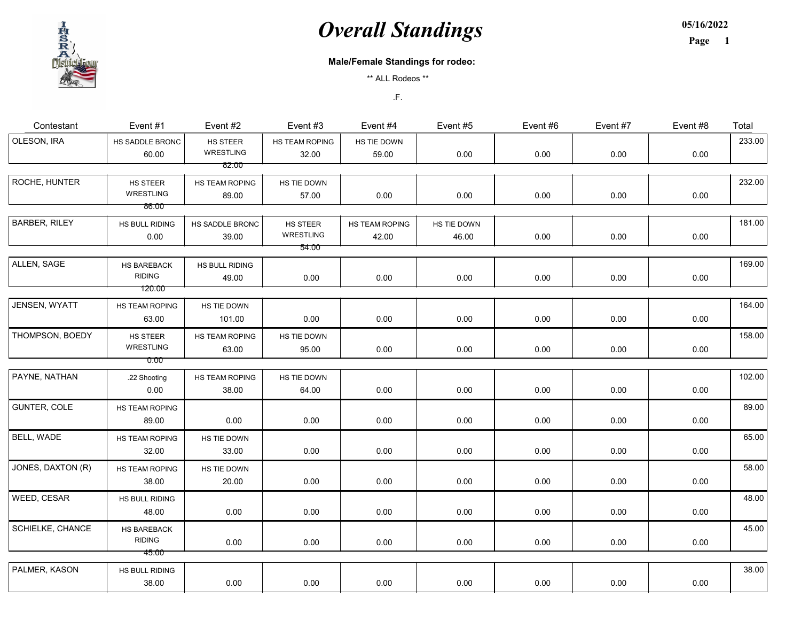05/16/2022

Page 1

#### Male/Female Standings for rodeo:

\*\* ALL Rodeos \*\*

| Contestant           | Event #1                               | Event #2                       | Event #3                       | Event #4                       | Event #5             | Event #6 | Event #7 | Event #8 | Total  |
|----------------------|----------------------------------------|--------------------------------|--------------------------------|--------------------------------|----------------------|----------|----------|----------|--------|
| OLESON, IRA          | HS SADDLE BRONC<br>60.00               | HS STEER<br><b>WRESTLING</b>   | HS TEAM ROPING<br>32.00        | HS TIE DOWN<br>59.00           | 0.00                 | 0.00     | 0.00     | 0.00     | 233.00 |
|                      |                                        | 82.00                          |                                |                                |                      |          |          |          |        |
| ROCHE, HUNTER        | HS STEER<br>WRESTLING                  | <b>HS TEAM ROPING</b><br>89.00 | HS TIE DOWN<br>57.00           | 0.00                           | 0.00                 | 0.00     | 0.00     | 0.00     | 232.00 |
|                      | 86.00                                  |                                |                                |                                |                      |          |          |          |        |
| <b>BARBER, RILEY</b> | HS BULL RIDING<br>0.00                 | HS SADDLE BRONC<br>39.00       | HS STEER<br>WRESTLING<br>54.00 | <b>HS TEAM ROPING</b><br>42.00 | HS TIE DOWN<br>46.00 | 0.00     | 0.00     | 0.00     | 181.00 |
|                      |                                        |                                |                                |                                |                      |          |          |          |        |
| ALLEN, SAGE          | HS BAREBACK<br><b>RIDING</b><br>120.00 | HS BULL RIDING<br>49.00        | 0.00                           | 0.00                           | 0.00                 | 0.00     | 0.00     | 0.00     | 169.00 |
|                      |                                        |                                |                                |                                |                      |          |          |          |        |
| JENSEN, WYATT        | HS TEAM ROPING<br>63.00                | HS TIE DOWN<br>101.00          | 0.00                           | 0.00                           | 0.00                 | 0.00     | 0.00     | 0.00     | 164.00 |
| THOMPSON, BOEDY      | HS STEER<br>WRESTLING<br>0.00          | HS TEAM ROPING<br>63.00        | HS TIE DOWN<br>95.00           | 0.00                           | 0.00                 | 0.00     | 0.00     | 0.00     | 158.00 |
|                      |                                        |                                |                                |                                |                      |          |          |          |        |
| PAYNE, NATHAN        | .22 Shooting<br>0.00                   | HS TEAM ROPING<br>38.00        | HS TIE DOWN<br>64.00           | 0.00                           | 0.00                 | 0.00     | 0.00     | 0.00     | 102.00 |
| GUNTER, COLE         | HS TEAM ROPING<br>89.00                | 0.00                           | 0.00                           | 0.00                           | 0.00                 | 0.00     | 0.00     | 0.00     | 89.00  |
| BELL, WADE           | HS TEAM ROPING<br>32.00                | HS TIE DOWN<br>33.00           | 0.00                           | 0.00                           | 0.00                 | 0.00     | 0.00     | 0.00     | 65.00  |
| JONES, DAXTON (R)    | HS TEAM ROPING<br>38.00                | HS TIE DOWN<br>20.00           | 0.00                           | 0.00                           | 0.00                 | 0.00     | 0.00     | 0.00     | 58.00  |
| WEED, CESAR          | HS BULL RIDING<br>48.00                | 0.00                           | 0.00                           | 0.00                           | 0.00                 | 0.00     | 0.00     | 0.00     | 48.00  |
| SCHIELKE, CHANCE     | HS BAREBACK<br><b>RIDING</b><br>45.00  | 0.00                           | 0.00                           | 0.00                           | 0.00                 | 0.00     | 0.00     | 0.00     | 45.00  |
|                      |                                        |                                |                                |                                |                      |          |          |          |        |
| PALMER, KASON        | HS BULL RIDING<br>38.00                | 0.00                           | 0.00                           | 0.00                           | 0.00                 | 0.00     | 0.00     | 0.00     | 38.00  |

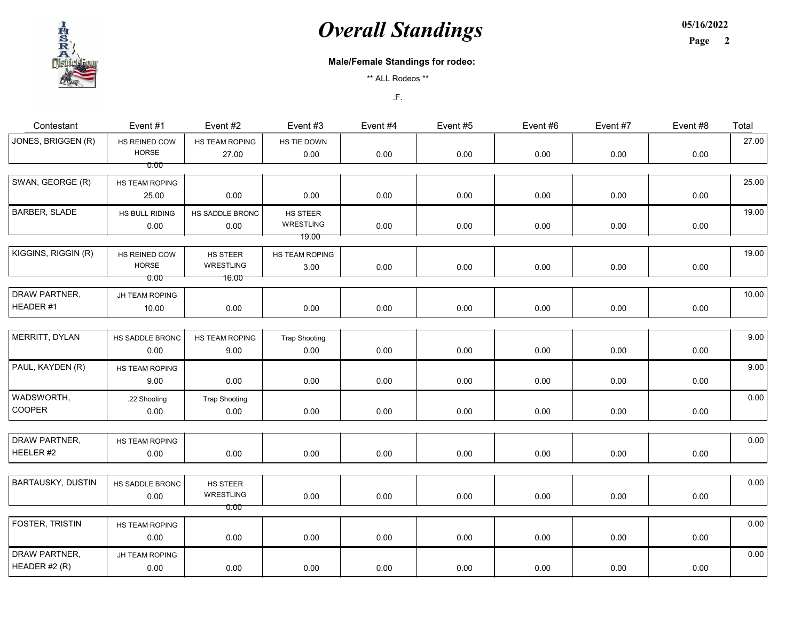05/16/2022 Page 2

#### Male/Female Standings for rodeo:

\*\* ALL Rodeos \*\*

| Contestant               | Event #1        | Event #2             | Event #3             | Event #4 | Event #5 | Event #6 | Event #7 | Event #8 | Total |
|--------------------------|-----------------|----------------------|----------------------|----------|----------|----------|----------|----------|-------|
| JONES, BRIGGEN (R)       | HS REINED COW   | HS TEAM ROPING       | HS TIE DOWN          |          |          |          |          |          | 27.00 |
|                          | <b>HORSE</b>    | 27.00                | 0.00                 | 0.00     | 0.00     | 0.00     | 0.00     | 0.00     |       |
|                          | 0.00            |                      |                      |          |          |          |          |          |       |
| SWAN, GEORGE (R)         | HS TEAM ROPING  |                      |                      |          |          |          |          |          | 25.00 |
|                          | 25.00           | 0.00                 | 0.00                 | 0.00     | 0.00     | 0.00     | 0.00     | 0.00     |       |
| BARBER, SLADE            | HS BULL RIDING  | HS SADDLE BRONC      | HS STEER             |          |          |          |          |          | 19.00 |
|                          | 0.00            | 0.00                 | WRESTLING            | 0.00     | 0.00     | 0.00     | 0.00     | 0.00     |       |
|                          |                 |                      | <u> 19.00 </u>       |          |          |          |          |          |       |
| KIGGINS, RIGGIN (R)      | HS REINED COW   | HS STEER             | HS TEAM ROPING       |          |          |          |          |          | 19.00 |
|                          | <b>HORSE</b>    | WRESTLING            | 3.00                 | 0.00     | 0.00     | 0.00     | 0.00     | 0.00     |       |
|                          | 0.00            | 16.00                |                      |          |          |          |          |          |       |
| DRAW PARTNER,            | JH TEAM ROPING  |                      |                      |          |          |          |          |          | 10.00 |
| HEADER #1                | 10.00           | 0.00                 | 0.00                 | 0.00     | 0.00     | 0.00     | 0.00     | 0.00     |       |
|                          |                 |                      |                      |          |          |          |          |          |       |
| MERRITT, DYLAN           | HS SADDLE BRONC | HS TEAM ROPING       | <b>Trap Shooting</b> |          |          |          |          |          | 9.00  |
|                          | 0.00            | 9.00                 | 0.00                 | 0.00     | 0.00     | 0.00     | 0.00     | 0.00     |       |
|                          |                 |                      |                      |          |          |          |          |          |       |
| PAUL, KAYDEN (R)         | HS TEAM ROPING  |                      |                      |          |          |          |          |          | 9.00  |
|                          | 9.00            | 0.00                 | 0.00                 | 0.00     | 0.00     | 0.00     | 0.00     | 0.00     |       |
| WADSWORTH,               | .22 Shooting    | <b>Trap Shooting</b> |                      |          |          |          |          |          | 0.00  |
| COOPER                   | 0.00            | 0.00                 | 0.00                 | 0.00     | 0.00     | 0.00     | 0.00     | 0.00     |       |
|                          |                 |                      |                      |          |          |          |          |          |       |
| DRAW PARTNER,            | HS TEAM ROPING  |                      |                      |          |          |          |          |          | 0.00  |
| HEELER#2                 | 0.00            | 0.00                 | 0.00                 | 0.00     | 0.00     | 0.00     | 0.00     | 0.00     |       |
|                          |                 |                      |                      |          |          |          |          |          |       |
| <b>BARTAUSKY, DUSTIN</b> | HS SADDLE BRONC | HS STEER             |                      |          |          |          |          |          | 0.00  |
|                          | 0.00            | WRESTLING            | 0.00                 | 0.00     | 0.00     | 0.00     | 0.00     | 0.00     |       |
|                          |                 | 0.00                 |                      |          |          |          |          |          |       |
| FOSTER, TRISTIN          | HS TEAM ROPING  |                      |                      |          |          |          |          |          | 0.00  |
|                          | 0.00            | 0.00                 | 0.00                 | 0.00     | 0.00     | 0.00     | 0.00     | 0.00     |       |
|                          |                 |                      |                      |          |          |          |          |          |       |
| DRAW PARTNER,            | JH TEAM ROPING  |                      |                      |          |          |          |          |          | 0.00  |
| HEADER #2 (R)            | 0.00            | 0.00                 | 0.00                 | 0.00     | 0.00     | 0.00     | 0.00     | 0.00     |       |

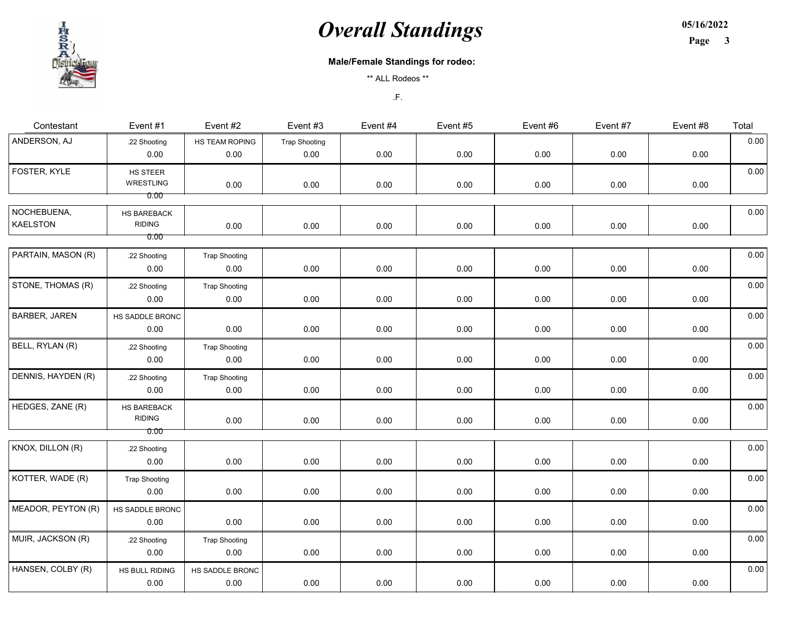05/16/2022 Page 3



#### Male/Female Standings for rodeo:

\*\* ALL Rodeos \*\*

| Contestant                     | Event #1                             | Event #2                     | Event #3                     | Event #4 | Event #5 | Event #6 | Event #7 | Event #8 | Total |
|--------------------------------|--------------------------------------|------------------------------|------------------------------|----------|----------|----------|----------|----------|-------|
| ANDERSON, AJ                   | .22 Shooting<br>0.00                 | HS TEAM ROPING<br>0.00       | <b>Trap Shooting</b><br>0.00 | 0.00     | 0.00     | 0.00     | 0.00     | 0.00     | 0.00  |
| FOSTER, KYLE                   | HS STEER<br>WRESTLING<br>0.00        | 0.00                         | 0.00                         | 0.00     | 0.00     | 0.00     | 0.00     | 0.00     | 0.00  |
| NOCHEBUENA,<br><b>KAELSTON</b> | HS BAREBACK<br><b>RIDING</b><br>0.00 | 0.00                         | 0.00                         | 0.00     | 0.00     | 0.00     | 0.00     | 0.00     | 0.00  |
| PARTAIN, MASON (R)             | .22 Shooting<br>0.00                 | <b>Trap Shooting</b><br>0.00 | 0.00                         | 0.00     | 0.00     | 0.00     | 0.00     | 0.00     | 0.00  |
| STONE, THOMAS (R)              | .22 Shooting<br>0.00                 | <b>Trap Shooting</b><br>0.00 | 0.00                         | 0.00     | 0.00     | 0.00     | 0.00     | 0.00     | 0.00  |
| <b>BARBER, JAREN</b>           | HS SADDLE BRONC<br>0.00              | 0.00                         | 0.00                         | 0.00     | 0.00     | 0.00     | 0.00     | 0.00     | 0.00  |
| BELL, RYLAN (R)                | .22 Shooting<br>0.00                 | <b>Trap Shooting</b><br>0.00 | 0.00                         | 0.00     | 0.00     | 0.00     | 0.00     | 0.00     | 0.00  |
| DENNIS, HAYDEN (R)             | .22 Shooting<br>0.00                 | <b>Trap Shooting</b><br>0.00 | 0.00                         | 0.00     | 0.00     | 0.00     | 0.00     | 0.00     | 0.00  |
| HEDGES, ZANE (R)               | HS BAREBACK<br><b>RIDING</b><br>0.00 | 0.00                         | 0.00                         | 0.00     | 0.00     | 0.00     | 0.00     | 0.00     | 0.00  |
| KNOX, DILLON (R)               | .22 Shooting<br>0.00                 | 0.00                         | 0.00                         | 0.00     | 0.00     | 0.00     | 0.00     | 0.00     | 0.00  |
| KOTTER, WADE (R)               | <b>Trap Shooting</b><br>0.00         | 0.00                         | 0.00                         | 0.00     | 0.00     | 0.00     | 0.00     | 0.00     | 0.00  |
| MEADOR, PEYTON (R)             | HS SADDLE BRONC<br>0.00              | 0.00                         | 0.00                         | 0.00     | 0.00     | 0.00     | 0.00     | 0.00     | 0.00  |
| MUIR, JACKSON (R)              | .22 Shooting<br>0.00                 | <b>Trap Shooting</b><br>0.00 | 0.00                         | 0.00     | 0.00     | 0.00     | 0.00     | 0.00     | 0.00  |
| HANSEN, COLBY (R)              | HS BULL RIDING<br>0.00               | HS SADDLE BRONC<br>0.00      | 0.00                         | 0.00     | 0.00     | 0.00     | 0.00     | 0.00     | 0.00  |